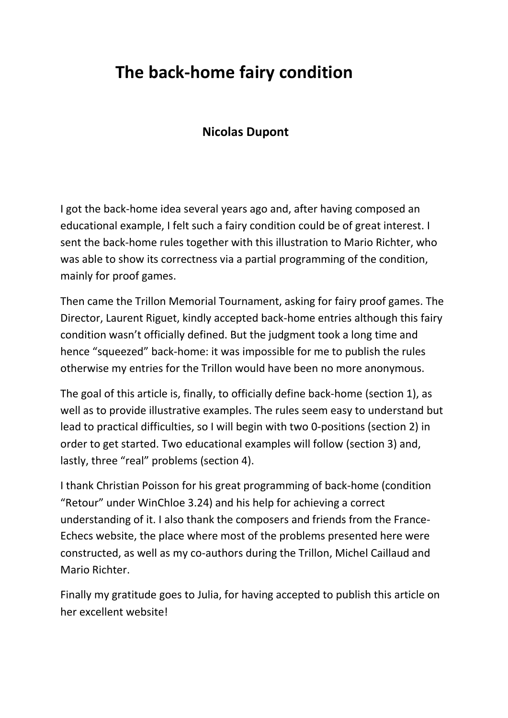# **The back-home fairy condition**

# **Nicolas Dupont**

I got the back-home idea several years ago and, after having composed an educational example, I felt such a fairy condition could be of great interest. I sent the back-home rules together with this illustration to Mario Richter, who was able to show its correctness via a partial programming of the condition, mainly for proof games.

Then came the Trillon Memorial Tournament, asking for fairy proof games. The Director, Laurent Riguet, kindly accepted back-home entries although this fairy condition wasn't officially defined. But the judgment took a long time and hence "squeezed" back-home: it was impossible for me to publish the rules otherwise my entries for the Trillon would have been no more anonymous.

The goal of this article is, finally, to officially define back-home (section 1), as well as to provide illustrative examples. The rules seem easy to understand but lead to practical difficulties, so I will begin with two 0-positions (section 2) in order to get started. Two educational examples will follow (section 3) and, lastly, three "real" problems (section 4).

I thank Christian Poisson for his great programming of back-home (condition "Retour" under WinChloe 3.24) and his help for achieving a correct understanding of it. I also thank the composers and friends from the France-Echecs website, the place where most of the problems presented here were constructed, as well as my co-authors during the Trillon, Michel Caillaud and Mario Richter.

Finally my gratitude goes to Julia, for having accepted to publish this article on her excellent website!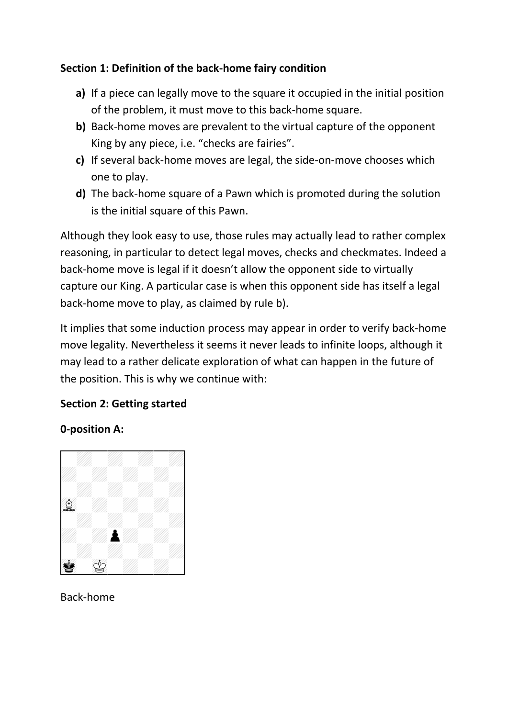## **Section 1: Definition of the back-home fairy condition**

- **a)** If a piece can legally move to the square it occupied in the initial position of the problem, it must move to this back-home square.
- **b)** Back-home moves are prevalent to the virtual capture of the opponent King by any piece, i.e. "checks are fairies".
- **c)** If several back-home moves are legal, the side-on-move chooses which one to play.
- **d)** The back-home square of a Pawn which is promoted during the solution is the initial square of this Pawn.

Although they look easy to use, those rules may actually lead to rather complex reasoning, in particular to detect legal moves, checks and checkmates. Indeed a back-home move is legal if it doesn't allow the opponent side to virtually capture our King. A particular case is when this opponent side has itself a legal back-home move to play, as claimed by rule b).

It implies that some induction process may appear in order to verify back-home move legality. Nevertheless it seems it never leads to infinite loops, although it may lead to a rather delicate exploration of what can happen in the future of the position. This is why we continue with:

#### **Section 2: Getting started**

#### **0-position A:**



Back-home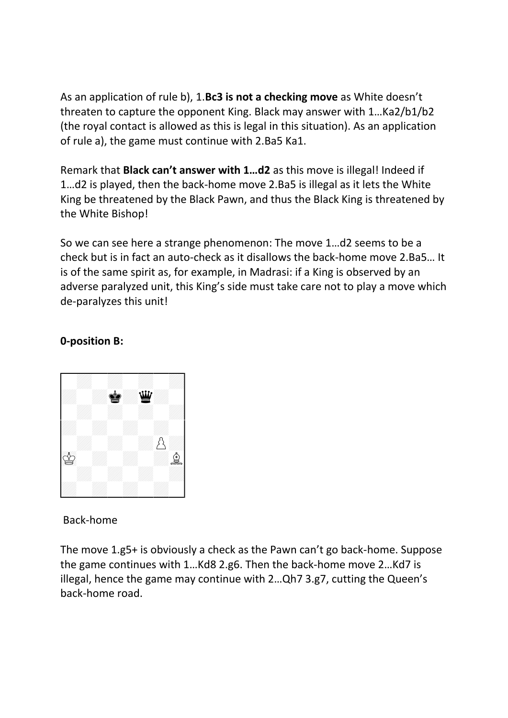As an application of rule b), 1.**Bc3 is not a checking move** as White doesn't threaten to capture the opponent King. Black may answer with 1…Ka2/b1/b2 (the royal contact is allowed as this is legal in this situation). As an application of rule a), the game must continue with 2.Ba5 Ka1.

Remark that **Black can't answer with 1…d2** as this move is illegal! Indeed if 1…d2 is played, then the back-home move 2.Ba5 is illegal as it lets the White King be threatened by the Black Pawn, and thus the Black King is threatened by the White Bishop!

So we can see here a strange phenomenon: The move 1…d2 seems to be a check but is in fact an auto-check as it disallows the back-home move 2.Ba5… It is of the same spirit as, for example, in Madrasi: if a King is observed by an adverse paralyzed unit, this King's side must take care not to play a move which de-paralyzes this unit!

#### **0-position B:**



Back-home

The move 1.g5+ is obviously a check as the Pawn can't go back-home. Suppose the game continues with 1…Kd8 2.g6. Then the back-home move 2…Kd7 is illegal, hence the game may continue with 2…Qh7 3.g7, cutting the Queen's back-home road.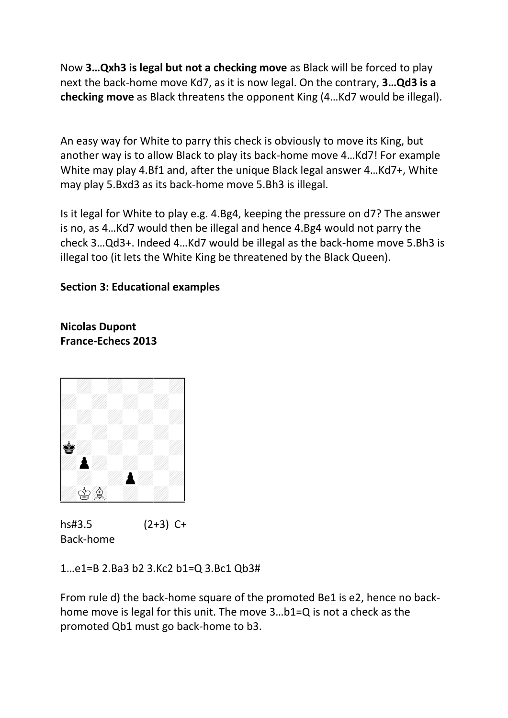Now **3…Qxh3 is legal but not a checking move** as Black will be forced to play next the back-home move Kd7, as it is now legal. On the contrary, **3…Qd3 is a checking move** as Black threatens the opponent King (4…Kd7 would be illegal).

An easy way for White to parry this check is obviously to move its King, but another way is to allow Black to play its back-home move 4…Kd7! For example White may play 4.Bf1 and, after the unique Black legal answer 4...Kd7+, White may play 5.Bxd3 as its back-home move 5.Bh3 is illegal.

Is it legal for White to play e.g. 4.Bg4, keeping the pressure on d7? The answer is no, as 4…Kd7 would then be illegal and hence 4.Bg4 would not parry the check 3…Qd3+. Indeed 4…Kd7 would be illegal as the back-home move 5.Bh3 is illegal too (it lets the White King be threatened by the Black Queen).

## **Section 3: Educational examples**

**Nicolas Dupont France-Echecs 2013**



hs#3.5 (2+3) C+ Back-home

1…e1=B 2.Ba3 b2 3.Kc2 b1=Q 3.Bc1 Qb3#

From rule d) the back-home square of the promoted Be1 is e2, hence no backhome move is legal for this unit. The move 3…b1=Q is not a check as the promoted Qb1 must go back-home to b3.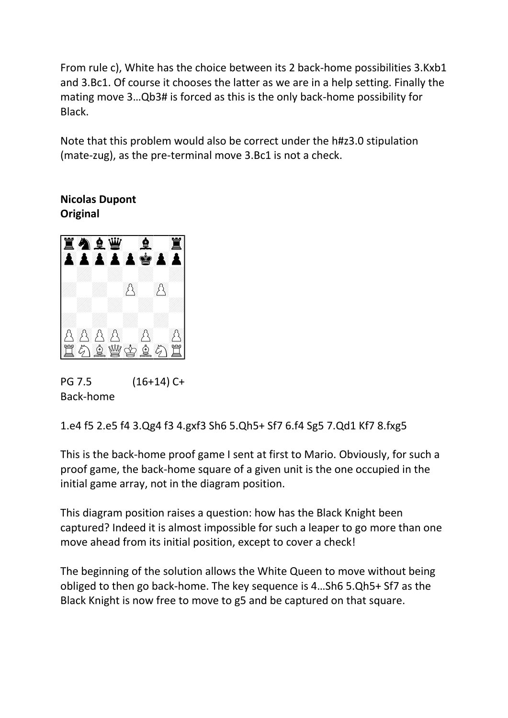From rule c), White has the choice between its 2 back-home possibilities 3.Kxb1 and 3.Bc1. Of course it chooses the latter as we are in a help setting. Finally the mating move 3…Qb3# is forced as this is the only back-home possibility for Black.

Note that this problem would also be correct under the h#z3.0 stipulation (mate-zug), as the pre-terminal move 3.Bc1 is not a check.

**Nicolas Dupont Original**



PG 7.5 (16+14) C+ Back-home

1.e4 f5 2.e5 f4 3.Qg4 f3 4.gxf3 Sh6 5.Qh5+ Sf7 6.f4 Sg5 7.Qd1 Kf7 8.fxg5

This is the back-home proof game I sent at first to Mario. Obviously, for such a proof game, the back-home square of a given unit is the one occupied in the initial game array, not in the diagram position.

This diagram position raises a question: how has the Black Knight been captured? Indeed it is almost impossible for such a leaper to go more than one move ahead from its initial position, except to cover a check!

The beginning of the solution allows the White Queen to move without being obliged to then go back-home. The key sequence is 4…Sh6 5.Qh5+ Sf7 as the Black Knight is now free to move to g5 and be captured on that square.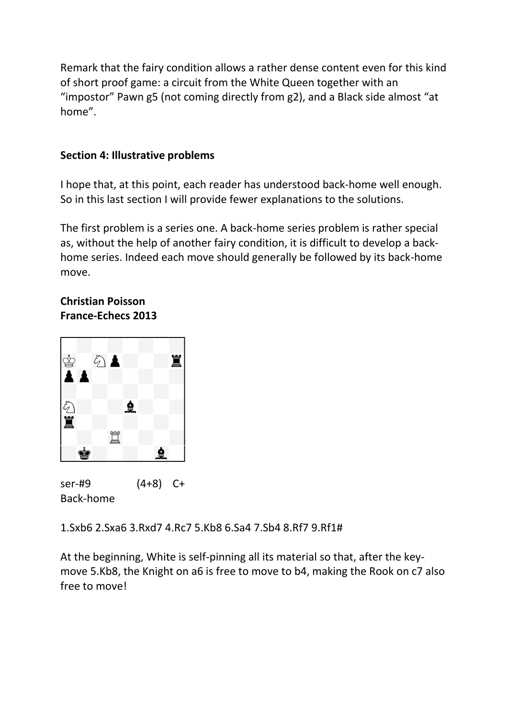Remark that the fairy condition allows a rather dense content even for this kind of short proof game: a circuit from the White Queen together with an "impostor" Pawn g5 (not coming directly from g2), and a Black side almost "at home".

#### **Section 4: Illustrative problems**

I hope that, at this point, each reader has understood back-home well enough. So in this last section I will provide fewer explanations to the solutions.

The first problem is a series one. A back-home series problem is rather special as, without the help of another fairy condition, it is difficult to develop a backhome series. Indeed each move should generally be followed by its back-home move.

#### **Christian Poisson France-Echecs 2013**



ser-#9 (4+8) C+ Back-home

1.Sxb6 2.Sxa6 3.Rxd7 4.Rc7 5.Kb8 6.Sa4 7.Sb4 8.Rf7 9.Rf1#

At the beginning, White is self-pinning all its material so that, after the keymove 5.Kb8, the Knight on a6 is free to move to b4, making the Rook on c7 also free to move!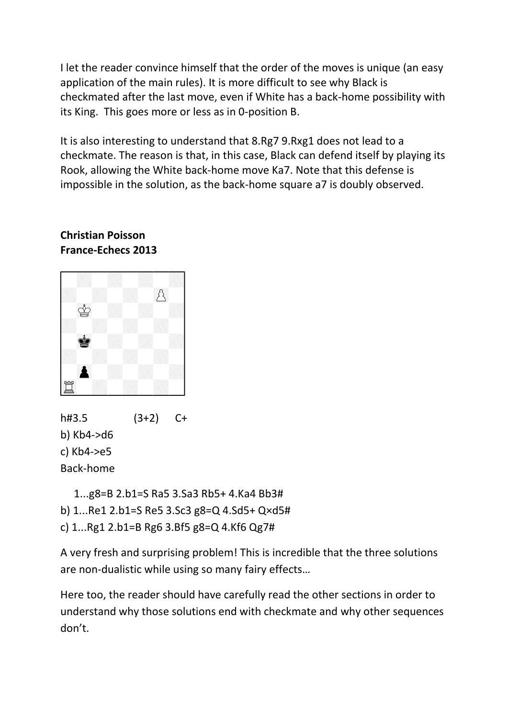I let the reader convince himself that the order of the moves is unique (an easy application of the main rules). It is more difficult to see why Black is checkmated after the last move, even if White has a back-home possibility with its King. This goes more or less as in 0-position B.

It is also interesting to understand that 8.Rg7 9.Rxg1 does not lead to a checkmate. The reason is that, in this case, Black can defend itself by playing its Rook, allowing the White back-home move Ka7. Note that this defense is impossible in the solution, as the back-home square a7 is doubly observed.

#### **Christian Poisson France-Echecs 2013**



h#3.5 (3+2) C+ b) Kb4->d6 c) Kb4->e5 Back-home

1...g8=B 2.b1=S Ra5 3.Sa3 Rb5+ 4.Ka4 Bb3#

b) 1...Re1 2.b1=S Re5 3.Sc3 g8=Q 4.Sd5+ Q×d5#

c) 1...Rg1 2.b1=B Rg6 3.Bf5 g8=Q 4.Kf6 Qg7#

A very fresh and surprising problem! This is incredible that the three solutions are non-dualistic while using so many fairy effects…

Here too, the reader should have carefully read the other sections in order to understand why those solutions end with checkmate and why other sequences don't.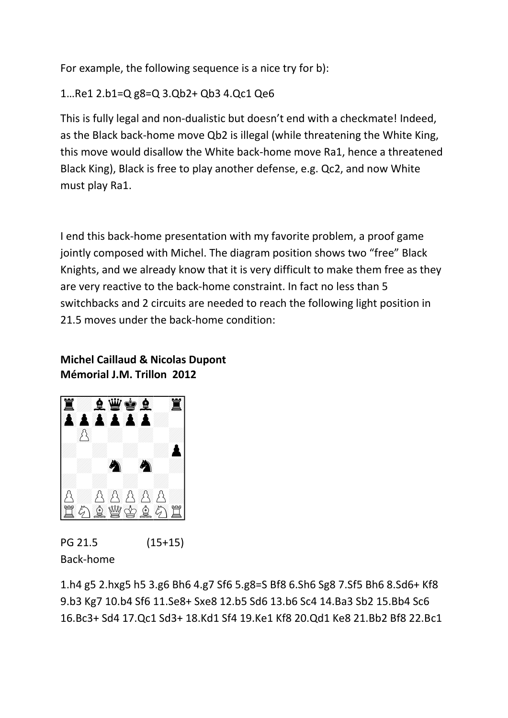For example, the following sequence is a nice try for b):

1…Re1 2.b1=Q g8=Q 3.Qb2+ Qb3 4.Qc1 Qe6

This is fully legal and non-dualistic but doesn't end with a checkmate! Indeed, as the Black back-home move Qb2 is illegal (while threatening the White King, this move would disallow the White back-home move Ra1, hence a threatened Black King), Black is free to play another defense, e.g. Qc2, and now White must play Ra1.

I end this back-home presentation with my favorite problem, a proof game jointly composed with Michel. The diagram position shows two "free" Black Knights, and we already know that it is very difficult to make them free as they are very reactive to the back-home constraint. In fact no less than 5 switchbacks and 2 circuits are needed to reach the following light position in 21.5 moves under the back-home condition:

## **Michel Caillaud & Nicolas Dupont Mémorial J.M. Trillon 2012**



PG 21.5 (15+15) Back-home

1.h4 g5 2.hxg5 h5 3.g6 Bh6 4.g7 Sf6 5.g8=S Bf8 6.Sh6 Sg8 7.Sf5 Bh6 8.Sd6+ Kf8 9.b3 Kg7 10.b4 Sf6 11.Se8+ Sxe8 12.b5 Sd6 13.b6 Sc4 14.Ba3 Sb2 15.Bb4 Sc6 16.Bc3+ Sd4 17.Qc1 Sd3+ 18.Kd1 Sf4 19.Ke1 Kf8 20.Qd1 Ke8 21.Bb2 Bf8 22.Bc1